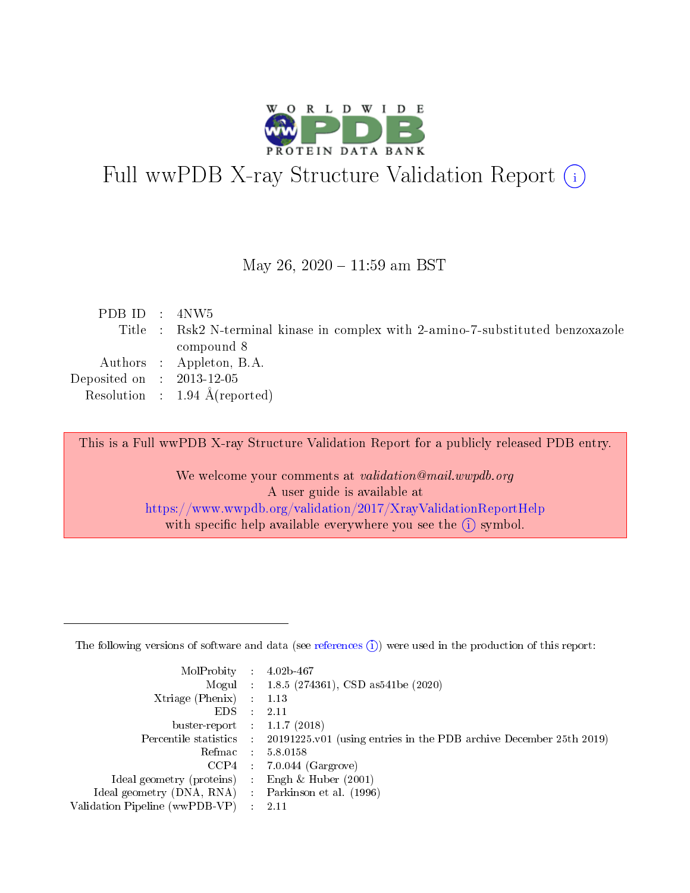

# Full wwPDB X-ray Structure Validation Report (i)

#### May 26, 2020 - 11:59 am BST

| PDB ID : $4NW5$             |                                                                                  |
|-----------------------------|----------------------------------------------------------------------------------|
|                             | Title : Rsk2 N-terminal kinase in complex with 2-amino-7-substituted benzoxazole |
|                             | compound 8                                                                       |
|                             | Authors : Appleton, B.A.                                                         |
| Deposited on : $2013-12-05$ |                                                                                  |
|                             | Resolution : $1.94 \text{ Å}$ (reported)                                         |
|                             |                                                                                  |

This is a Full wwPDB X-ray Structure Validation Report for a publicly released PDB entry.

We welcome your comments at validation@mail.wwpdb.org A user guide is available at <https://www.wwpdb.org/validation/2017/XrayValidationReportHelp> with specific help available everywhere you see the  $(i)$  symbol.

The following versions of software and data (see [references](https://www.wwpdb.org/validation/2017/XrayValidationReportHelp#references)  $(1)$ ) were used in the production of this report:

| MolProbity                     | $\mathcal{L}_{\rm{max}}$ | $4.02b - 467$                                                                |
|--------------------------------|--------------------------|------------------------------------------------------------------------------|
|                                |                          | Mogul : $1.8.5$ (274361), CSD as 541be (2020)                                |
| $X$ triage (Phenix) :          |                          | 1.13                                                                         |
| EDS.                           |                          | 2.11                                                                         |
| buster-report : $1.1.7$ (2018) |                          |                                                                              |
| Percentile statistics :        |                          | $20191225 \text{ v}01$ (using entries in the PDB archive December 25th 2019) |
| Refmac                         |                          | 5.8.0158                                                                     |
| $CCP4$ :                       |                          | $7.0.044$ (Gargrove)                                                         |
| Ideal geometry (proteins) :    |                          | Engh $\&$ Huber (2001)                                                       |
| Ideal geometry (DNA, RNA) :    |                          | Parkinson et al. (1996)                                                      |
| Validation Pipeline (wwPDB-VP) | $\mathcal{L}$            | -2.11                                                                        |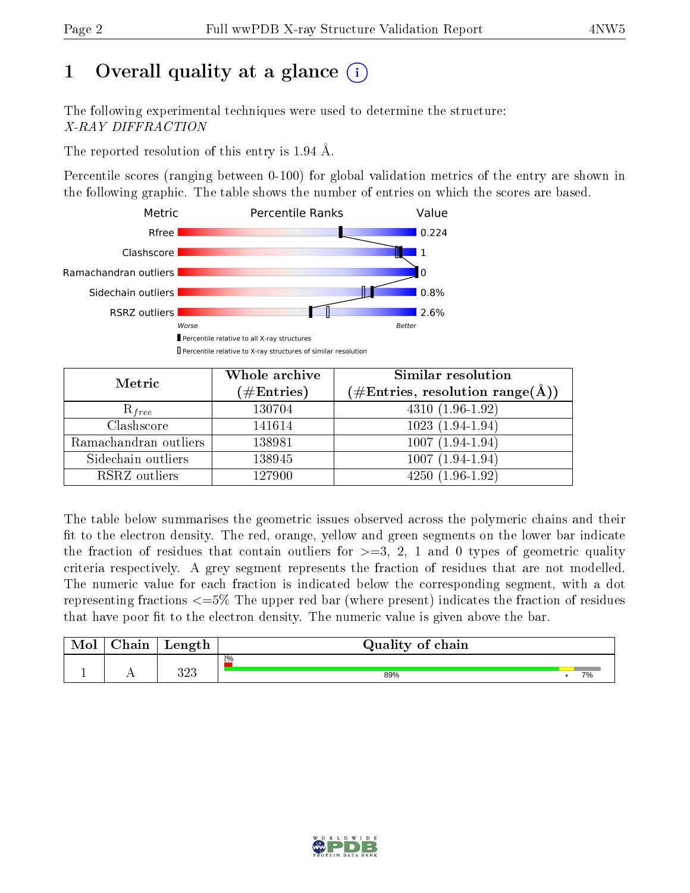# 1 [O](https://www.wwpdb.org/validation/2017/XrayValidationReportHelp#overall_quality)verall quality at a glance  $(i)$

The following experimental techniques were used to determine the structure: X-RAY DIFFRACTION

The reported resolution of this entry is 1.94 Å.

Percentile scores (ranging between 0-100) for global validation metrics of the entry are shown in the following graphic. The table shows the number of entries on which the scores are based.



| Metric                | Whole archive<br>$(\#\text{Entries})$ | Similar resolution<br>$(\#\text{Entries}, \text{resolution range}(\text{\AA}))$ |
|-----------------------|---------------------------------------|---------------------------------------------------------------------------------|
| $R_{free}$            | 130704                                | $4310(1.96-1.92)$                                                               |
| Clashscore            | 141614                                | $1023(1.94-1.94)$                                                               |
| Ramachandran outliers | 138981                                | $1007(1.94-1.94)$                                                               |
| Sidechain outliers    | 138945                                | $1007(1.94-1.94)$                                                               |
| RSRZ outliers         | 127900                                | $4250(1.96-1.92)$                                                               |

The table below summarises the geometric issues observed across the polymeric chains and their fit to the electron density. The red, orange, yellow and green segments on the lower bar indicate the fraction of residues that contain outliers for  $>=3, 2, 1$  and 0 types of geometric quality criteria respectively. A grey segment represents the fraction of residues that are not modelled. The numeric value for each fraction is indicated below the corresponding segment, with a dot representing fractions  $\epsilon=5\%$  The upper red bar (where present) indicates the fraction of residues that have poor fit to the electron density. The numeric value is given above the bar.

| Mol | $\cap$ hain | Length     | Quality of chain |    |
|-----|-------------|------------|------------------|----|
|     |             |            | 2%               |    |
|     |             | วาว<br>ں∠ں | 89%              | 7% |

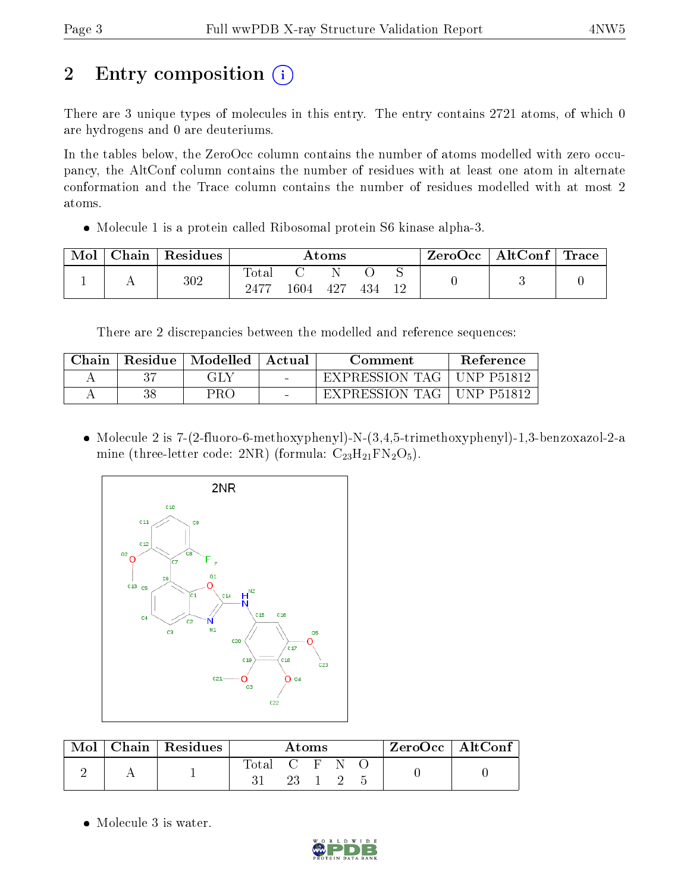# 2 Entry composition  $\left( \cdot \right)$

There are 3 unique types of molecules in this entry. The entry contains 2721 atoms, of which 0 are hydrogens and 0 are deuteriums.

In the tables below, the ZeroOcc column contains the number of atoms modelled with zero occupancy, the AltConf column contains the number of residues with at least one atom in alternate conformation and the Trace column contains the number of residues modelled with at most 2 atoms.

Molecule 1 is a protein called Ribosomal protein S6 kinase alpha-3.

| Mol | Chain | Residues | $\rm{Atoms}$  |     |     |  | $\rm ZeroOcc \mid AltConf \mid Trace$ |  |  |
|-----|-------|----------|---------------|-----|-----|--|---------------------------------------|--|--|
|     |       | $302\,$  | Tota.<br>2477 | 604 | 427 |  |                                       |  |  |

There are 2 discrepancies between the modelled and reference sequences:

| Chain | Residue   Modelled | Actual | Comment        | Reference  |
|-------|--------------------|--------|----------------|------------|
|       | GLY.               | $\sim$ | EXPRESSION TAG | UNP P51812 |
|       | PRO                |        | EXPRESSION TAG | UNP P51812 |

 Molecule 2 is 7-(2-fluoro-6-methoxyphenyl)-N-(3,4,5-trimethoxyphenyl)-1,3-benzoxazol-2-a mine (three-letter code: 2NR) (formula:  $C_{23}H_{21}FN_2O_5$ ).



| $\text{Mol}$ | Chain   Residues | Atoms         |  |  | $ZeroOcc \mid AltConf \mid$ |  |  |  |
|--------------|------------------|---------------|--|--|-----------------------------|--|--|--|
|              |                  | Total C F N O |  |  |                             |  |  |  |
|              |                  |               |  |  | 23 1 2 5                    |  |  |  |

• Molecule 3 is water.

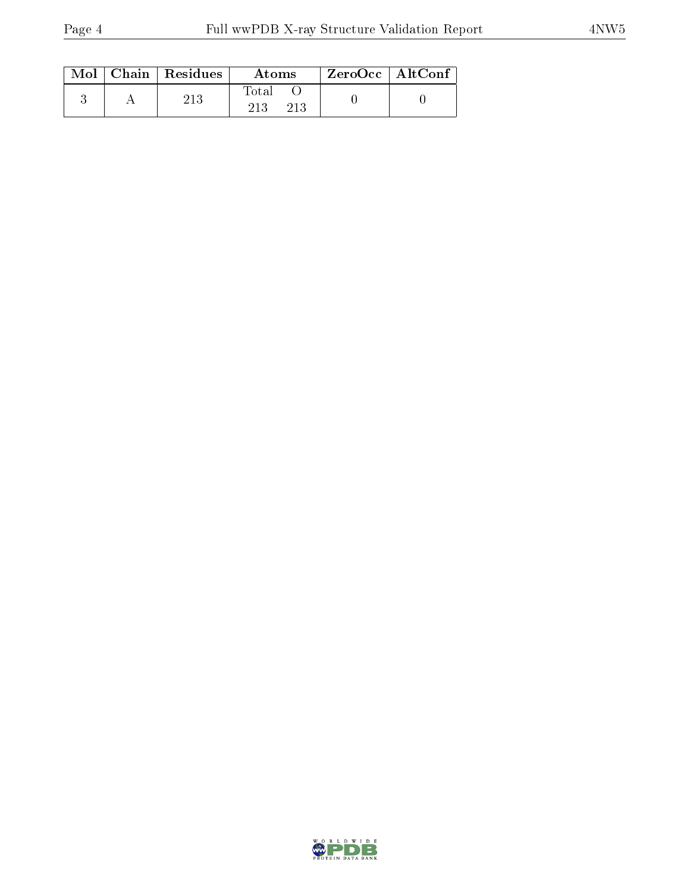|  | $Mol$   Chain   Residues | Atoms               | $\rm ZeroOcc$   AltConf |  |
|--|--------------------------|---------------------|-------------------------|--|
|  | 213                      | Total<br>213<br>213 |                         |  |

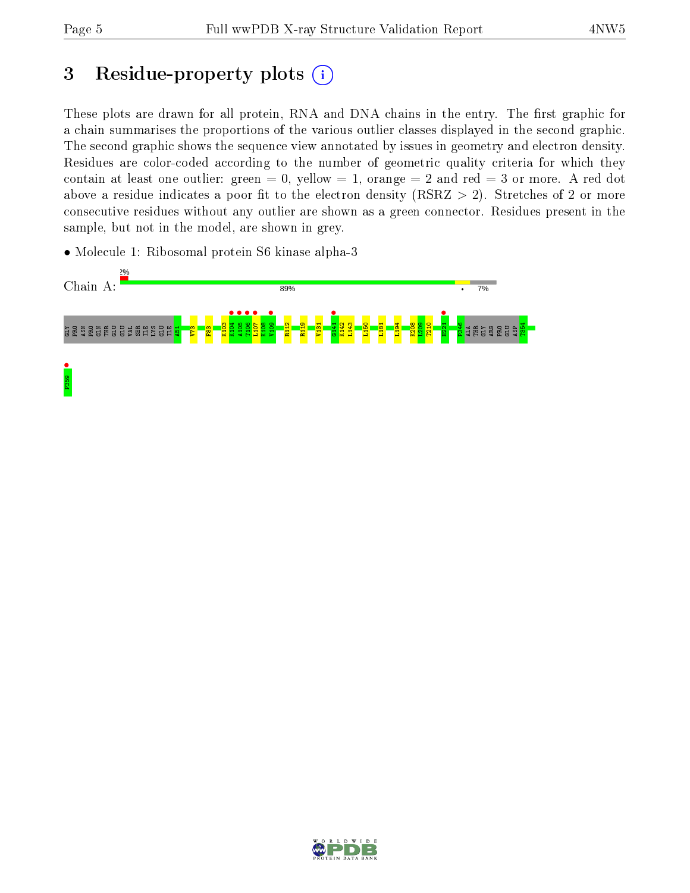# 3 Residue-property plots  $(i)$

These plots are drawn for all protein, RNA and DNA chains in the entry. The first graphic for a chain summarises the proportions of the various outlier classes displayed in the second graphic. The second graphic shows the sequence view annotated by issues in geometry and electron density. Residues are color-coded according to the number of geometric quality criteria for which they contain at least one outlier: green  $= 0$ , yellow  $= 1$ , orange  $= 2$  and red  $= 3$  or more. A red dot above a residue indicates a poor fit to the electron density (RSRZ  $> 2$ ). Stretches of 2 or more consecutive residues without any outlier are shown as a green connector. Residues present in the sample, but not in the model, are shown in grey.

• Molecule 1: Ribosomal protein S6 kinase alpha-3



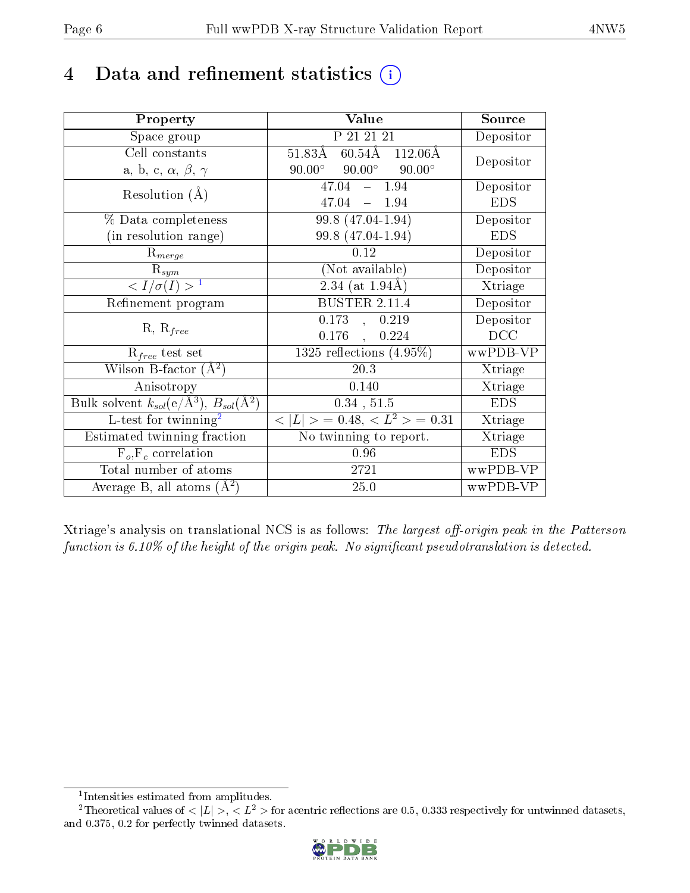## 4 Data and refinement statistics  $(i)$

| Property                                                                                        | Value                                            | Source                       |
|-------------------------------------------------------------------------------------------------|--------------------------------------------------|------------------------------|
| Space group                                                                                     | P 21 21 21                                       | Depositor                    |
| Cell constants                                                                                  | $51.83\AA$ 60.54 $\AA$ 112.06 $\AA$              | Depositor                    |
| a, b, c, $\alpha$ , $\beta$ , $\gamma$                                                          | $90.00^{\circ}$ $90.00^{\circ}$<br>$90.00^\circ$ |                              |
| Resolution $(A)$                                                                                | $-1.94$<br>47.04                                 | Depositor                    |
|                                                                                                 | 47.04<br>$-1.94$                                 | <b>EDS</b>                   |
| % Data completeness                                                                             | 99.8 (47.04-1.94)                                | Depositor                    |
| (in resolution range)                                                                           | 99.8 (47.04-1.94)                                | <b>EDS</b>                   |
| $R_{merge}$                                                                                     | 0.12                                             | Depositor                    |
| $\mathrm{R}_{sym}$                                                                              | (Not available)                                  | Depositor                    |
| $\langle I/\sigma(I) \rangle^{-1}$                                                              | $2.34$ (at 1.94Å)                                | Xtriage                      |
| Refinement program                                                                              | BUSTER $2.\overline{11.4}$                       | Depositor                    |
|                                                                                                 | $0.173$ , $0.219$                                | Depositor                    |
| $R, R_{free}$                                                                                   | $0.176$ ,<br>0.224                               | DCC                          |
| $R_{free}$ test set                                                                             | 1325 reflections $(4.95\%)$                      | wwPDB-VP                     |
| Wilson B-factor $(A^2)$                                                                         | 20.3                                             | Xtriage                      |
| Anisotropy                                                                                      | 0.140                                            | Xtriage                      |
| $\overline{\mathrm{Bulk}}$ solvent $k_{sol}(\mathrm{e}/\mathrm{A}^3)$ , $B_{sol}(\mathrm{A}^2)$ | 0.34, 51.5                                       | <b>EDS</b>                   |
| $L$ -test for twinning <sup>2</sup>                                                             | $< L >$ = 0.48, $< L2$ > = 0.31                  | Xtriage                      |
| Estimated twinning fraction                                                                     | No twinning to report.                           | $\overline{\text{X}}$ triage |
| $F_o, F_c$ correlation                                                                          | 0.96                                             | <b>EDS</b>                   |
| Total number of atoms                                                                           | 2721                                             | wwPDB-VP                     |
| Average B, all atoms $(A^2)$                                                                    | 25.0                                             | wwPDB-VP                     |

Xtriage's analysis on translational NCS is as follows: The largest off-origin peak in the Patterson function is  $6.10\%$  of the height of the origin peak. No significant pseudotranslation is detected.

<sup>&</sup>lt;sup>2</sup>Theoretical values of  $\langle |L| \rangle$ ,  $\langle L^2 \rangle$  for acentric reflections are 0.5, 0.333 respectively for untwinned datasets, and 0.375, 0.2 for perfectly twinned datasets.



<span id="page-5-1"></span><span id="page-5-0"></span><sup>1</sup> Intensities estimated from amplitudes.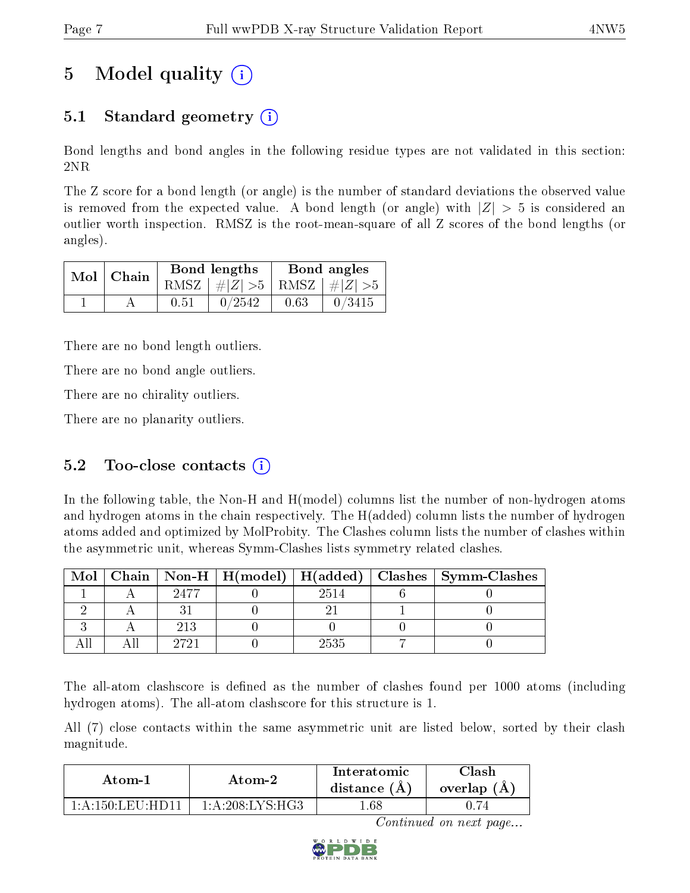# 5 Model quality  $(i)$

### 5.1 Standard geometry (i)

Bond lengths and bond angles in the following residue types are not validated in this section: 2NR

The Z score for a bond length (or angle) is the number of standard deviations the observed value is removed from the expected value. A bond length (or angle) with  $|Z| > 5$  is considered an outlier worth inspection. RMSZ is the root-mean-square of all Z scores of the bond lengths (or angles).

| $Mol$   Chain |      | Bond lengths                    | Bond angles |        |  |
|---------------|------|---------------------------------|-------------|--------|--|
|               |      | RMSZ $ #Z  > 5$ RMSZ $ #Z  > 5$ |             |        |  |
|               | 0.51 | 0/2542                          | 0.63        | 0/3415 |  |

There are no bond length outliers.

There are no bond angle outliers.

There are no chirality outliers.

There are no planarity outliers.

### 5.2 Too-close contacts  $(i)$

In the following table, the Non-H and H(model) columns list the number of non-hydrogen atoms and hydrogen atoms in the chain respectively. The H(added) column lists the number of hydrogen atoms added and optimized by MolProbity. The Clashes column lists the number of clashes within the asymmetric unit, whereas Symm-Clashes lists symmetry related clashes.

| Mol |      |      | $\mid$ Chain $\mid$ Non-H $\mid$ H(model) $\mid$ H(added) $\mid$ Clashes $\mid$ Symm-Clashes $\mid$ |
|-----|------|------|-----------------------------------------------------------------------------------------------------|
|     | 2477 | 2514 |                                                                                                     |
|     |      |      |                                                                                                     |
|     | 213  |      |                                                                                                     |
|     | 9791 | 2535 |                                                                                                     |

The all-atom clashscore is defined as the number of clashes found per 1000 atoms (including hydrogen atoms). The all-atom clashscore for this structure is 1.

All (7) close contacts within the same asymmetric unit are listed below, sorted by their clash magnitude.

| Atom-1           | Atom-2                                            | Interatomic<br>distance $(A)$ | <b>Clash</b><br>overlap (A) |
|------------------|---------------------------------------------------|-------------------------------|-----------------------------|
| 1 A 150 LEU HD11 | $1 \cdot A \cdot 208 \cdot I \cdot YS \cdot H G3$ | .68                           |                             |

Continued on next page...

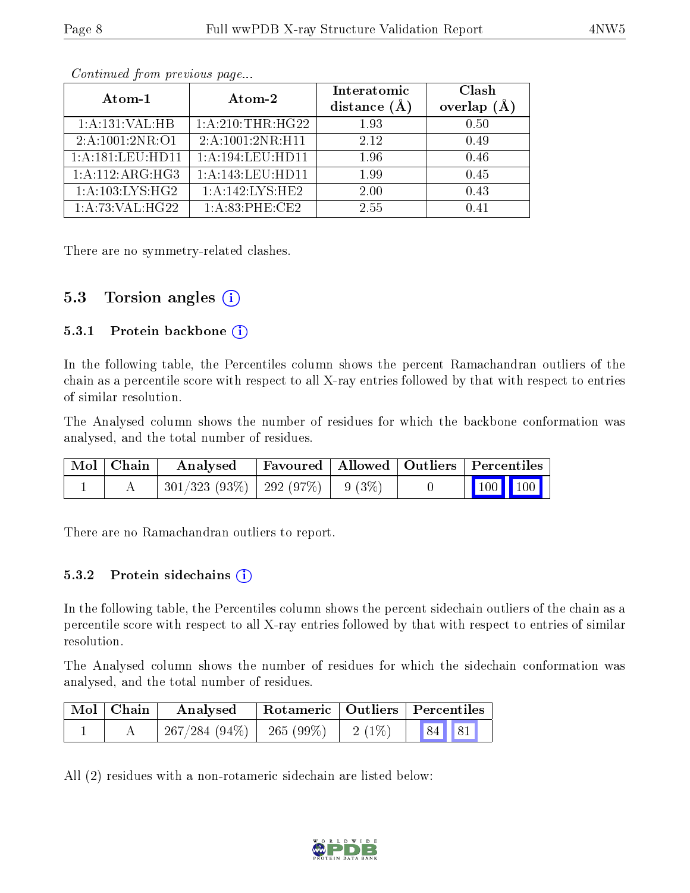| Atom-1                       | Atom-2               | Interatomic | Clash         |
|------------------------------|----------------------|-------------|---------------|
|                              |                      | distance (  | (Å<br>overlap |
| 1:A:131:VAL:HB               | 1:A:210:THR:HG22     | 1.93        | 0.50          |
| $2:A:\overline{1001:2NR:O1}$ | 2:A:1001:2NR:H11     | 2.12        | 0.49          |
| 1:A:181:LEU:HD11             | 1: A: 194: LEU: HD11 | 1.96        | 0.46          |
| 1:A:112:ARG:HG3              | 1: A:143: LEU: HD11  | 1.99        | 0.45          |
| 1: A:103: LYS: HG2           | 1:A:142:LYS:HE2      | 2.00        | 0.43          |
| 1:A:73:VAL:HG22              | $1: A:83:$ PHE:CE2   | 2.55        | በ 41          |

Continued from previous page...

There are no symmetry-related clashes.

#### 5.3 Torsion angles  $(i)$

#### 5.3.1 Protein backbone  $(i)$

In the following table, the Percentiles column shows the percent Ramachandran outliers of the chain as a percentile score with respect to all X-ray entries followed by that with respect to entries of similar resolution.

The Analysed column shows the number of residues for which the backbone conformation was analysed, and the total number of residues.

| $\mid$ Mol $\mid$ Chain $\mid$ | Analysed Favoured   Allowed   Outliers   Percentiles |  |                                                                                  |  |
|--------------------------------|------------------------------------------------------|--|----------------------------------------------------------------------------------|--|
|                                | $301/323$ (93\%)   292 (97\%)   9 (3\%)              |  | $\begin{array}{ c c c c }\n\hline\n\multicolumn{1}{ c }{100} & 100\n\end{array}$ |  |

There are no Ramachandran outliers to report.

#### 5.3.2 Protein sidechains  $(i)$

In the following table, the Percentiles column shows the percent sidechain outliers of the chain as a percentile score with respect to all X-ray entries followed by that with respect to entries of similar resolution.

The Analysed column shows the number of residues for which the sidechain conformation was analysed, and the total number of residues.

| Mol   Chain | Analysed        | Rotameric   Outliers   Percentiles |                                                         |  |  |
|-------------|-----------------|------------------------------------|---------------------------------------------------------|--|--|
|             | $267/284(94\%)$ | 265 (99%)   2 (1%)                 | $\begin{array}{ c c c c c } \hline 84 & 81 \end{array}$ |  |  |

All (2) residues with a non-rotameric sidechain are listed below:

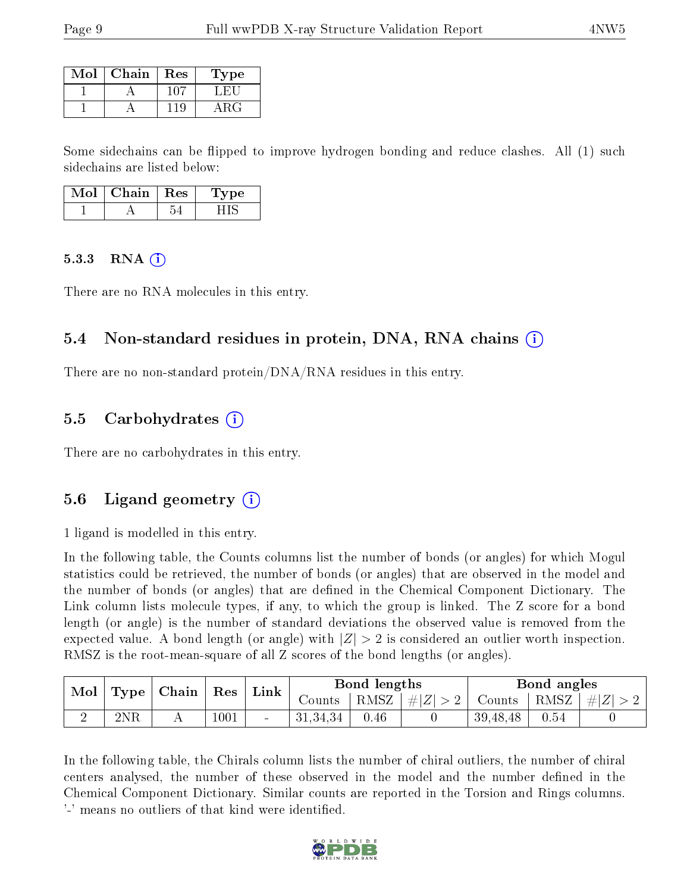| Mol | Chain | Res  | Type |
|-----|-------|------|------|
|     |       | -011 |      |
|     |       |      |      |

Some sidechains can be flipped to improve hydrogen bonding and reduce clashes. All (1) such sidechains are listed below:

| Chain | K es | əе. |
|-------|------|-----|
|       |      |     |

#### $5.3.3$  RNA  $(i)$

There are no RNA molecules in this entry.

#### 5.4 Non-standard residues in protein, DNA, RNA chains (i)

There are no non-standard protein/DNA/RNA residues in this entry.

#### 5.5 Carbohydrates  $(i)$

There are no carbohydrates in this entry.

#### 5.6 Ligand geometry  $(i)$

1 ligand is modelled in this entry.

In the following table, the Counts columns list the number of bonds (or angles) for which Mogul statistics could be retrieved, the number of bonds (or angles) that are observed in the model and the number of bonds (or angles) that are dened in the Chemical Component Dictionary. The Link column lists molecule types, if any, to which the group is linked. The Z score for a bond length (or angle) is the number of standard deviations the observed value is removed from the expected value. A bond length (or angle) with  $|Z| > 2$  is considered an outlier worth inspection. RMSZ is the root-mean-square of all Z scores of the bond lengths (or angles).

| $\text{Mol}_\perp$ | Type | Chain<br>$\operatorname{Res}$ |          | Link            |          | Bond lengths |                 |               | Bond angles |         |  |
|--------------------|------|-------------------------------|----------|-----------------|----------|--------------|-----------------|---------------|-------------|---------|--|
|                    |      |                               |          |                 | Counts   |              | RMSZ $ #Z  > 2$ | Counts   RMSZ |             | $\# Z $ |  |
|                    | 2NR  |                               | $1001\,$ | $\qquad \qquad$ | 31,34,34 | 0.46         |                 | 39,48,48      | 0.54        |         |  |

In the following table, the Chirals column lists the number of chiral outliers, the number of chiral centers analysed, the number of these observed in the model and the number defined in the Chemical Component Dictionary. Similar counts are reported in the Torsion and Rings columns. '-' means no outliers of that kind were identified.

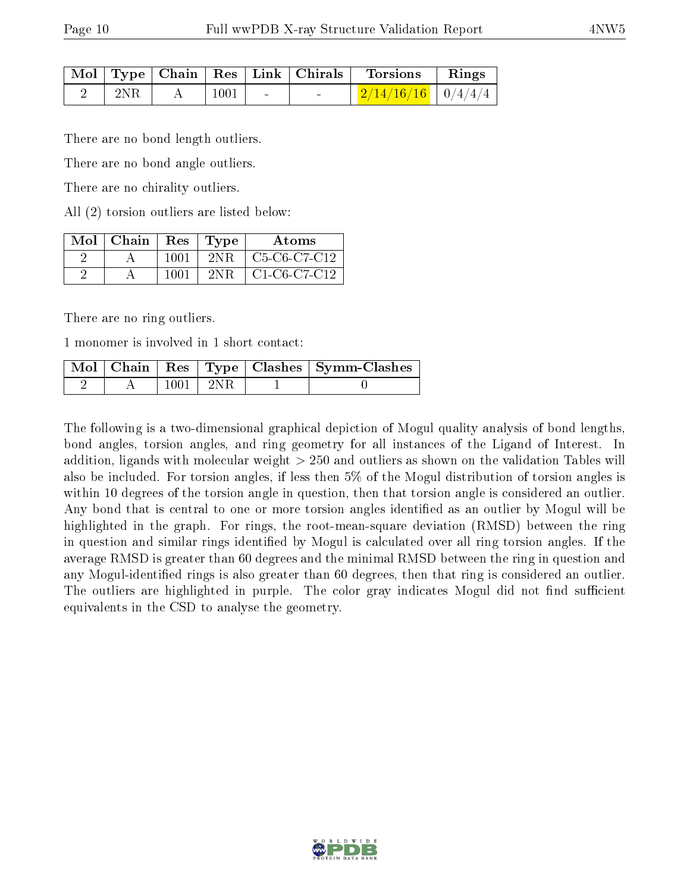|     |      | $\mid$ Mol $\mid$ Type $\mid$ Chain $\mid$ Res $\mid$ Link $\mid$ Chirals $\mid$ | $\perp$ Torsions                        | $\mathbf{Rings}$ |
|-----|------|----------------------------------------------------------------------------------|-----------------------------------------|------------------|
| 2NR | 1001 | $\sim$                                                                           | $\mid$ 2/14/16/16 $\mid$ 0/4/4/4 $\mid$ |                  |

There are no bond length outliers.

There are no bond angle outliers.

There are no chirality outliers.

All (2) torsion outliers are listed below:

| $Mol$   Chain |      | Res   Type | Atoms                                                           |
|---------------|------|------------|-----------------------------------------------------------------|
|               | 1001 | -2NR -     | C <sub>5</sub> -C <sub>6</sub> -C <sub>7</sub> -C <sub>12</sub> |
|               | 1001 | 2NR.       | $C1-C6-C7-C12$                                                  |

There are no ring outliers.

1 monomer is involved in 1 short contact:

|  |                | Mol   Chain   Res   Type   Clashes   Symm-Clashes |
|--|----------------|---------------------------------------------------|
|  | $1001$   $2NR$ |                                                   |

The following is a two-dimensional graphical depiction of Mogul quality analysis of bond lengths, bond angles, torsion angles, and ring geometry for all instances of the Ligand of Interest. In addition, ligands with molecular weight > 250 and outliers as shown on the validation Tables will also be included. For torsion angles, if less then 5% of the Mogul distribution of torsion angles is within 10 degrees of the torsion angle in question, then that torsion angle is considered an outlier. Any bond that is central to one or more torsion angles identified as an outlier by Mogul will be highlighted in the graph. For rings, the root-mean-square deviation (RMSD) between the ring in question and similar rings identified by Mogul is calculated over all ring torsion angles. If the average RMSD is greater than 60 degrees and the minimal RMSD between the ring in question and any Mogul-identied rings is also greater than 60 degrees, then that ring is considered an outlier. The outliers are highlighted in purple. The color gray indicates Mogul did not find sufficient equivalents in the CSD to analyse the geometry.

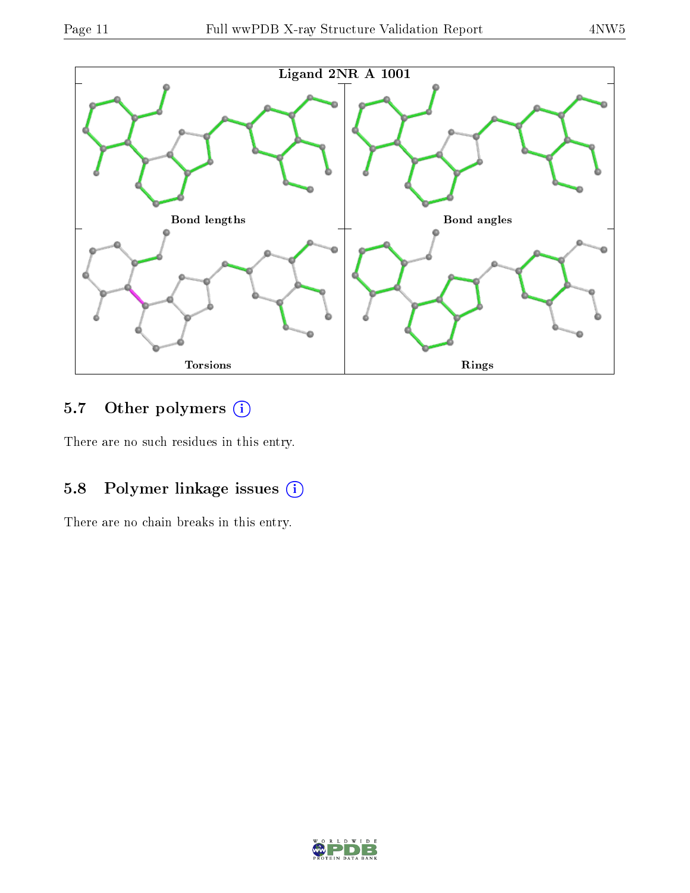

### 5.7 [O](https://www.wwpdb.org/validation/2017/XrayValidationReportHelp#nonstandard_residues_and_ligands)ther polymers (i)

There are no such residues in this entry.

### 5.8 Polymer linkage issues (i)

There are no chain breaks in this entry.

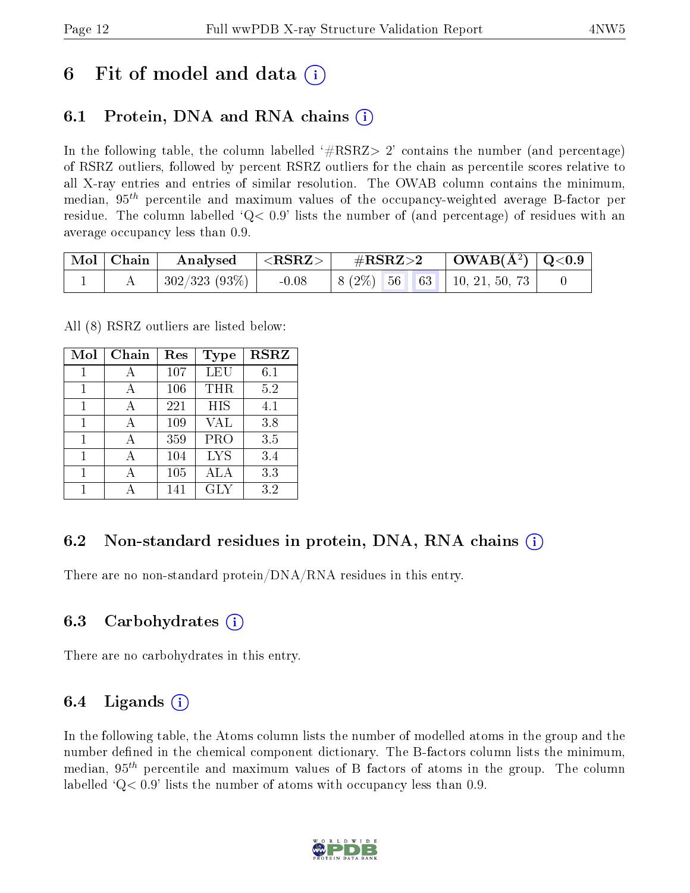## 6 Fit of model and data  $\left( \cdot \right)$

### 6.1 Protein, DNA and RNA chains (i)

In the following table, the column labelled  $#RSRZ>2'$  contains the number (and percentage) of RSRZ outliers, followed by percent RSRZ outliers for the chain as percentile scores relative to all X-ray entries and entries of similar resolution. The OWAB column contains the minimum, median,  $95<sup>th</sup>$  percentile and maximum values of the occupancy-weighted average B-factor per residue. The column labelled  $Q < 0.9$  lists the number of (and percentage) of residues with an average occupancy less than 0.9.

| $\mid$ Mol $\mid$ Chain $\mid$ | $\vert$ Analysed $\vert$ <rsrz> <math>\vert</math></rsrz> | $\rm \#RSRZ{>}2$                         | $\vert$ OWAB(Å <sup>2</sup> ) $\vert$ Q<0.9 |  |
|--------------------------------|-----------------------------------------------------------|------------------------------------------|---------------------------------------------|--|
|                                | $\pm$ 302/323 (93%) $\pm$                                 | $-0.08$   8 (2\%) 56 63   10, 21, 50, 73 |                                             |  |

All (8) RSRZ outliers are listed below:

| Mol | Chain        | $\operatorname{Res}% \left( \mathcal{N}\right) \equiv\operatorname{Res}(\mathcal{N}_{0},\mathcal{N}_{0})$ | Type       | <b>RSRZ</b> |
|-----|--------------|-----------------------------------------------------------------------------------------------------------|------------|-------------|
| 1   | $\mathsf{A}$ | 107                                                                                                       | <b>LEU</b> | 6.1         |
| 1   | А            | 106                                                                                                       | THR        | 5.2         |
|     |              | 221                                                                                                       | <b>HIS</b> | 4.1         |
| 1   |              | 109                                                                                                       | VAL        | 3.8         |
| 1   |              | 359                                                                                                       | <b>PRO</b> | 3.5         |
| 1   |              | 104                                                                                                       | <b>LYS</b> | 3.4         |
|     |              | 105                                                                                                       | ALA        | 3.3         |
|     |              | 141                                                                                                       | GLY        | 3.2         |

### 6.2 Non-standard residues in protein, DNA, RNA chains  $(i)$

There are no non-standard protein/DNA/RNA residues in this entry.

#### 6.3 Carbohydrates (i)

There are no carbohydrates in this entry.

#### 6.4 Ligands  $(i)$

In the following table, the Atoms column lists the number of modelled atoms in the group and the number defined in the chemical component dictionary. The B-factors column lists the minimum, median,  $95<sup>th</sup>$  percentile and maximum values of B factors of atoms in the group. The column labelled  $Q< 0.9$ ' lists the number of atoms with occupancy less than 0.9.